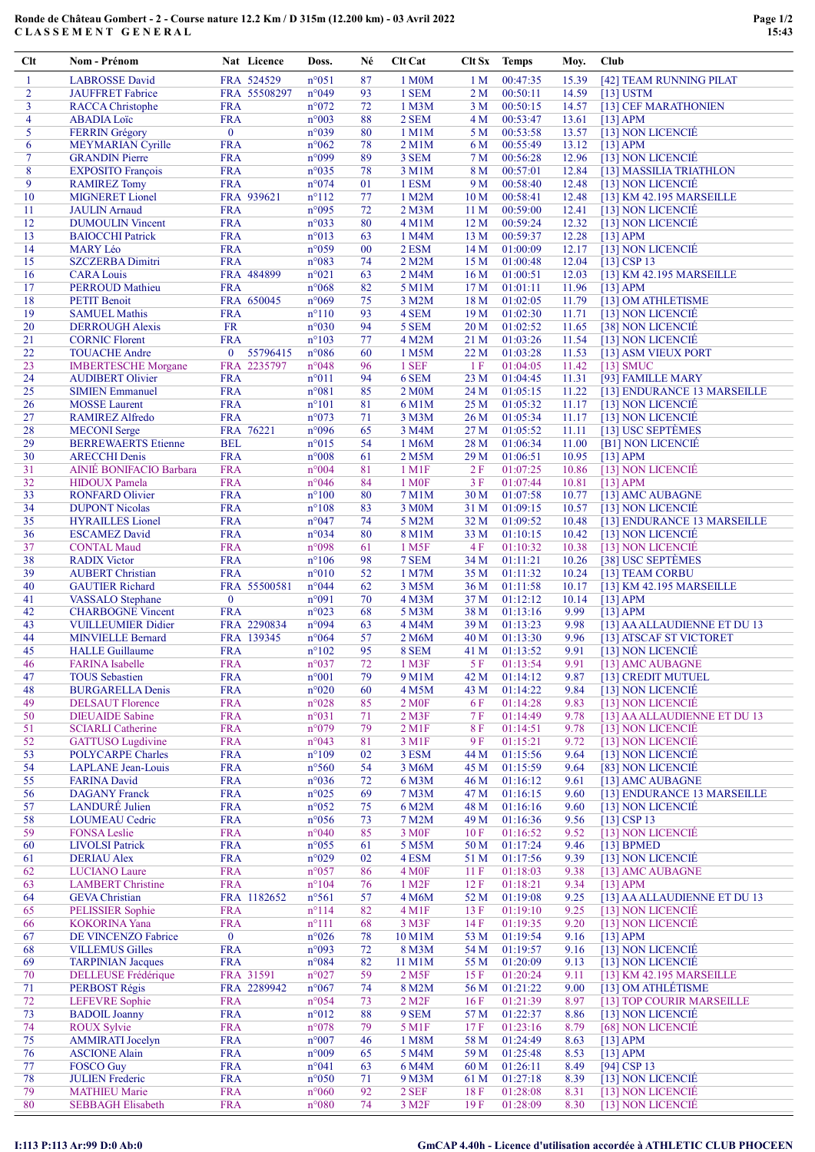## Ronde de Château Gombert - 2 - Course nature 12.2 Km / D 315m (12.200 km) - 03 Avril 2022 CLASSEMENT GENERAL

| Clt            | Nom - Prénom                                     |                          | Nat Licence              | Doss.                            | Né       | <b>Clt Cat</b>             | Clt Sx          | <b>Temps</b>         | Moy.           | Club                                           |
|----------------|--------------------------------------------------|--------------------------|--------------------------|----------------------------------|----------|----------------------------|-----------------|----------------------|----------------|------------------------------------------------|
| -1             | <b>LABROSSE</b> David                            |                          | FRA 524529               | $n^{\circ}051$                   | 87       | 1 M0M                      | 1 <sub>M</sub>  | 00:47:35             | 15.39          | [42] TEAM RUNNING PILAT                        |
| $\overline{2}$ | <b>JAUFFRET</b> Fabrice                          |                          | FRA 55508297             | n°049                            | 93       | 1 SEM                      | 2 <sub>M</sub>  | 00:50:11             | 14.59          | $[13]$ USTM                                    |
| 3              | <b>RACCA</b> Christophe                          | <b>FRA</b>               |                          | $n^{\circ}072$                   | 72       | 1 M3M                      | 3 M             | 00:50:15             | 14.57          | [13] CEF MARATHONIEN                           |
| $\overline{4}$ | <b>ABADIA Loïc</b>                               | <b>FRA</b>               |                          | $n^{\circ}003$                   | 88       | 2 SEM                      | 4 M             | 00:53:47             | 13.61          | $[13]$ APM                                     |
| 5              | <b>FERRIN Grégory</b>                            | $\mathbf{0}$             |                          | n°039                            | 80       | 1 M1M                      | 5 M             | 00:53:58             | 13.57          | [13] NON LICENCIE                              |
| 6              | MEYMARIAN Cyrille                                | <b>FRA</b>               |                          | $n^{\circ}062$                   | 78       | 2 M1M                      | 6 M             | 00:55:49             | 13.12          | $[13]$ APM                                     |
| $\tau$         | <b>GRANDIN Pierre</b>                            | <b>FRA</b>               |                          | n°099                            | 89       | 3 SEM                      | 7 <sub>M</sub>  | 00:56:28             | 12.96          | [13] NON LICENCIÉ                              |
| 8              | <b>EXPOSITO François</b>                         | <b>FRA</b>               |                          | n°035                            | 78       | 3 M1M                      | 8 M             | 00:57:01             | 12.84          | [13] MASSILIA TRIATHLON                        |
| 9              | <b>RAMIREZ Tomy</b>                              | <b>FRA</b>               |                          | n°074                            | 01       | 1 ESM                      | 9 M             | 00:58:40             | 12.48          | [13] NON LICENCIÉ                              |
| 10             | <b>MIGNERET</b> Lionel                           |                          | FRA 939621               | $n^{\circ}112$                   | 77       | 1 M2M                      | 10 <sub>M</sub> | 00:58:41             | 12.48          | [13] KM 42.195 MARSEILLE                       |
| 11             | <b>JAULIN</b> Arnaud                             | <b>FRA</b>               |                          | n°095                            | 72       | $2$ M $3$ M                | 11 <sub>M</sub> | 00:59:00             | 12.41          | [13] NON LICENCIÉ                              |
| 12             | <b>DUMOULIN Vincent</b>                          | <b>FRA</b>               |                          | n°033                            | 80       | 4 M1M                      | 12 <sub>M</sub> | 00:59:24             | 12.32          | [13] NON LICENCIE                              |
| 13             | <b>BAIOCCHI</b> Patrick                          | <b>FRA</b>               |                          | $n^{\circ}013$                   | 63       | 1 M4M                      | 13 M            | 00:59:37             | 12.28          | $[13]$ APM                                     |
| 14             | <b>MARY Léo</b>                                  | <b>FRA</b>               |                          | n°059                            | 00       | 2 ESM                      | 14M             | 01:00:09             | 12.17          | [13] NON LICENCIÉ                              |
| 15             | <b>SZCZERBA Dimitri</b>                          | <b>FRA</b>               |                          | n°083                            | 74       | 2 M2M                      | 15 M            | 01:00:48             | 12.04          | $[13]$ CSP 13                                  |
| 16             | <b>CARA Louis</b>                                |                          | FRA 484899               | $n^{\circ}021$                   | 63       | 2 M4M                      | 16M             | 01:00:51             | 12.03          | [13] KM 42.195 MARSEILLE                       |
| 17             | <b>PERROUD Mathieu</b>                           | <b>FRA</b>               |                          | $n^{\circ}068$                   | 82       | 5 M1M                      | 17 <sub>M</sub> | 01:01:11             | 11.96          | $[13]$ APM                                     |
| 18             | <b>PETIT Benoit</b>                              |                          | FRA 650045               | n°069                            | 75       | 3 M2M                      | 18 M            | 01:02:05             | 11.79          | [13] OM ATHLETISME                             |
| 19             | <b>SAMUEL Mathis</b>                             | <b>FRA</b>               |                          | $n^{\circ}110$                   | 93       | 4 SEM                      | 19 <sub>M</sub> | 01:02:30             | 11.71          | [13] NON LICENCIÉ                              |
| 20             | <b>DERROUGH Alexis</b>                           | <b>FR</b>                |                          | $n^{\circ}030$                   | 94       | 5 SEM                      | 20 <sub>M</sub> | 01:02:52             | 11.65          | [38] NON LICENCIE                              |
| 21             | <b>CORNIC Florent</b>                            | <b>FRA</b>               |                          | $n^{\circ}103$                   | 77       | 4 M2M                      | 21 M            | 01:03:26             | 11.54          | [13] NON LICENCIÉ                              |
| 22             | <b>TOUACHE Andre</b>                             | $\mathbf{0}$             | 55796415                 | $n^{\circ}086$                   | 60       | 1 M5M                      | 22 M            | 01:03:28             | 11.53          | [13] ASM VIEUX PORT                            |
| 23             | <b>IMBERTESCHE Morgane</b>                       |                          | FRA 2235797              | $n^{\circ}048$                   | 96       | 1 SEF                      | 1F              | 01:04:05             | 11.42          | $[13]$ SMUC                                    |
| 24             | <b>AUDIBERT Olivier</b>                          | <b>FRA</b>               |                          | $n^{\circ}011$                   | 94       | 6 SEM                      | 23 M            | 01:04:45             | 11.31          | [93] FAMILLE MARY                              |
| 25             | <b>SIMIEN Emmanuel</b><br><b>MOSSE</b> Laurent   | <b>FRA</b><br><b>FRA</b> |                          | $n^{\circ}081$                   | 85       | 2 M0M                      | 24 M            | 01:05:15             | 11.22          | [13] ENDURANCE 13 MARSEILLE                    |
| 26<br>27       |                                                  | <b>FRA</b>               |                          | $n^{\circ}101$<br>$n^{\circ}073$ | 81<br>71 | 6 M1M                      | 25 M            | 01:05:32             | 11.17<br>11.17 | [13] NON LICENCIE                              |
| 28             | <b>RAMIREZ Alfredo</b><br><b>MECONI</b> Serge    |                          | FRA 76221                | n°096                            | 65       | 3 M3M<br>3 M4M             | 26 M<br>27 M    | 01:05:34<br>01:05:52 | 11.11          | [13] NON LICENCIE<br>[13] USC SEPTÈMES         |
| 29             | <b>BERREWAERTS Etienne</b>                       | <b>BEL</b>               |                          | $n^{\circ}015$                   | 54       | 1 M6M                      | 28 M            | 01:06:34             | 11.00          | [B1] NON LICENCIE                              |
| 30             | <b>ARECCHI Denis</b>                             | <b>FRA</b>               |                          | $n^{\circ}008$                   | 61       | 2 M5M                      | 29 M            | 01:06:51             | 10.95          | $[13]$ APM                                     |
| 31             | AINIÉ BONIFACIO Barbara                          | <b>FRA</b>               |                          | $n^{\circ}004$                   | 81       | $1$ M $1$ F                | 2F              | 01:07:25             | 10.86          | [13] NON LICENCIÉ                              |
| 32             | <b>HIDOUX</b> Pamela                             | <b>FRA</b>               |                          | n°046                            | 84       | 1 M <sub>OF</sub>          | 3F              | 01:07:44             | 10.81          | $[13]$ APM                                     |
| 33             | <b>RONFARD Olivier</b>                           | <b>FRA</b>               |                          | $n^{\circ}100$                   | 80       | 7 M1M                      | 30 <sub>M</sub> | 01:07:58             | 10.77          | [13] AMC AUBAGNE                               |
| 34             | <b>DUPONT Nicolas</b>                            | <b>FRA</b>               |                          | $n^{\circ}108$                   | 83       | 3 M0M                      | 31 M            | 01:09:15             | 10.57          | [13] NON LICENCIE                              |
| 35             | <b>HYRAILLES</b> Lionel                          | <b>FRA</b>               |                          | $n^{\circ}047$                   | 74       | 5 M2M                      | 32 M            | 01:09:52             | 10.48          | [13] ENDURANCE 13 MARSEILLE                    |
| 36             | <b>ESCAMEZ David</b>                             | <b>FRA</b>               |                          | n°034                            | 80       | 8 M1M                      | 33 M            | 01:10:15             | 10.42          | [13] NON LICENCIE                              |
| 37             | <b>CONTAL Maud</b>                               | <b>FRA</b>               |                          | n°098                            | 61       | 1 M <sub>5</sub> F         | 4F              | 01:10:32             | 10.38          | [13] NON LICENCIE                              |
| 38             | <b>RADIX Victor</b>                              | <b>FRA</b>               |                          | $n^{\circ}106$                   | 98       | 7 SEM                      | 34 M            | 01:11:21             | 10.26          | [38] USC SEPTÈMES                              |
| 39             | <b>AUBERT</b> Christian                          | <b>FRA</b>               |                          | n°010                            | 52       | 1 M7M                      | 35 M            | 01:11:32             | 10.24          | [13] TEAM CORBU                                |
| 40             | <b>GAUTIER Richard</b>                           |                          | FRA 55500581             | $n^{\circ}044$                   | 62       | 3 M5M                      | 36 M            | 01:11:58             | 10.17          | [13] KM 42.195 MARSEILLE                       |
| 41             | <b>VASSALO</b> Stephane                          | $\bf{0}$                 |                          | n°091                            | 70       | 4 M3M                      | 37 M            | 01:12:12             | 10.14          | $[13]$ APM                                     |
| 42             | <b>CHARBOGNE Vincent</b>                         | <b>FRA</b>               |                          | n°023                            | 68       | 5 M3M                      | 38 M            | 01:13:16             | 9.99           | $[13]$ APM                                     |
| 43             | <b>VUILLEUMIER Didier</b>                        |                          | FRA 2290834              | n°094                            | 63       | 4 M4M                      | 39 M            | 01:13:23             | 9.98           | [13] AA ALLAUDIENNE ET DU 13                   |
| 44             | <b>MINVIELLE Bernard</b>                         |                          | FRA 139345               | $n^{\circ}064$                   | 57       | 2 M6M                      | 40 M            | 01:13:30             | 9.96           | [13] ATSCAF ST VICTORET                        |
| 45             | <b>HALLE</b> Guillaume                           | <b>FRA</b>               |                          | $n^{\circ}102$                   | 95       | 8 SEM                      | 41 M            | 01:13:52             | 9.91           | [13] NON LICENCIE                              |
| 46             | <b>FARINA</b> Isabelle                           | <b>FRA</b>               |                          | $n^{\circ}037$                   | 72       | 1 M3F                      | 5 F             | 01:13:54             | 9.91           | [13] AMC AUBAGNE<br>[13] CREDIT MUTUEL         |
| 47<br>48       | <b>TOUS</b> Sebastien<br><b>BURGARELLA Denis</b> | <b>FRA</b><br><b>FRA</b> |                          | $n^{\circ}001$<br>$n^{\circ}020$ | 79<br>60 | 9 M1M<br>4 M5M             | 42 M<br>43 M    | 01:14:12<br>01:14:22 | 9.87<br>9.84   | [13] NON LICENCIÉ                              |
| 49             | <b>DELSAUT Florence</b>                          | <b>FRA</b>               |                          | $n^{\circ}028$                   | 85       | 2 M <sub>OF</sub>          | 6 F             | 01:14:28             | 9.83           | [13] NON LICENCIÉ                              |
| 50             | <b>DIEUAIDE</b> Sabine                           | <b>FRA</b>               |                          | n°031                            | 71       | $2$ M $3F$                 | 7 F             | 01:14:49             | 9.78           | [13] AA ALLAUDIENNE ET DU 13                   |
| 51             | <b>SCIARLI Catherine</b>                         | <b>FRA</b>               |                          | n°079                            | 79       | $2$ M <sub>1F</sub>        | 8 F             | 01:14:51             | 9.78           | [13] NON LICENCIE                              |
| 52             | <b>GATTUSO</b> Lugdivine                         | <b>FRA</b>               |                          | n°043                            | 81       | 3 M1F                      | 9 F             | 01:15:21             | 9.72           | [13] NON LICENCIÉ                              |
| 53             | <b>POLYCARPE Charles</b>                         | <b>FRA</b>               |                          | $n^{\circ}109$                   | 02       | 3 ESM                      | 44 M            | 01:15:56             | 9.64           | [13] NON LICENCIÉ                              |
| 54             | <b>LAPLANE</b> Jean-Louis                        | <b>FRA</b>               |                          | $n^{\circ}560$                   | 54       | 3 M6M                      | 45 M            | 01:15:59             | 9.64           | [83] NON LICENCIÉ                              |
| 55             | <b>FARINA David</b>                              | <b>FRA</b>               |                          | n°036                            | 72       | 6 M3M                      | 46 M            | 01:16:12             | 9.61           | [13] AMC AUBAGNE                               |
| 56             | <b>DAGANY</b> Franck                             | <b>FRA</b>               |                          | n°025                            | 69       | 7 M3M                      | 47 M            | 01:16:15             | 9.60           | [13] ENDURANCE 13 MARSEILLE                    |
| 57             | LANDURÉ Julien                                   | <b>FRA</b>               |                          | $n^{\circ}052$                   | 75       | 6 M2M                      | 48 M            | 01:16:16             | 9.60           | [13] NON LICENCIE                              |
| 58             | <b>LOUMEAU</b> Cedric                            | <b>FRA</b>               |                          | $n^{\circ}056$                   | 73       | 7 M2M                      | 49 M            | 01:16:36             | 9.56           | $[13]$ CSP 13                                  |
| 59             | <b>FONSA Leslie</b>                              | <b>FRA</b>               |                          | $n^{\circ}040$                   | 85       | 3 M <sub>OF</sub>          | 10 F            | 01:16:52             | 9.52           | [13] NON LICENCIÉ                              |
| 60             | <b>LIVOLSI Patrick</b>                           | <b>FRA</b>               |                          | $n^{\circ}055$                   | 61       | 5 M5M                      | 50 M            | 01:17:24             | 9.46           | $[13]$ BPMED                                   |
| 61             | <b>DERIAU Alex</b>                               | <b>FRA</b>               |                          | $n^{\circ}029$                   | 02       | 4 ESM                      | 51 M            | 01:17:56             | 9.39           | [13] NON LICENCIÉ                              |
| 62             | <b>LUCIANO</b> Laure                             | <b>FRA</b>               |                          | n°057                            | 86       | 4 M <sub>OF</sub>          | 11F             | 01:18:03             | 9.38           | [13] AMC AUBAGNE                               |
| 63             | <b>LAMBERT</b> Christine                         | <b>FRA</b>               |                          | $n^{\circ}104$                   | 76       | 1 M2F                      | 12 F            | 01:18:21             | 9.34           | $[13]$ APM                                     |
| 64             | <b>GEVA</b> Christian                            |                          | FRA 1182652              | $n^{\circ}561$                   | 57       | 4 M6M                      | 52 M            | 01:19:08             | 9.25           | [13] AA ALLAUDIENNE ET DU 13                   |
| 65             | <b>PELISSIER Sophie</b>                          | <b>FRA</b>               |                          | $n^{\circ}114$                   | 82       | 4 M1F                      | 13F             | 01:19:10             | 9.25           | [13] NON LICENCIÉ                              |
| 66             | <b>KOKORINA Yana</b>                             | <b>FRA</b>               |                          | $n^{\circ}111$                   | 68       | 3 M3F                      | 14F             | 01:19:35             | 9.20           | [13] NON LICENCIÉ                              |
| 67             | DE VINCENZO Fabrice                              | $\mathbf{0}$             |                          | $n^{\circ}026$                   | 78       | 10 M1M                     | 53 M            | 01:19:54             | 9.16           | $[13]$ APM                                     |
| 68             | <b>VILLEMUS Gilles</b>                           | <b>FRA</b>               |                          | n°093                            | 72       | 8 M3M                      | 54 M            | 01:19:57             | 9.16           | [13] NON LICENCIE                              |
| 69             | <b>TARPINIAN Jacques</b>                         | <b>FRA</b>               |                          | $n^{\circ}084$                   | 82       | 11 M1M                     | 55 M            | 01:20:09             | 9.13           | [13] NON LICENCIÉ                              |
| 70<br>71       | <b>DELLEUSE</b> Frédérique<br>PERBOST Régis      |                          | FRA 31591<br>FRA 2289942 | n°027<br>$n^{\circ}067$          | 59<br>74 | 2 M <sub>5F</sub><br>8 M2M | 15 F<br>56 M    | 01:20:24<br>01:21:22 | 9.11<br>9.00   | [13] KM 42.195 MARSEILLE<br>[13] OM ATHLÉTISME |
| 72             | <b>LEFEVRE</b> Sophie                            | <b>FRA</b>               |                          | $n^{\circ}054$                   | 73       | 2 M <sub>2</sub> F         | 16F             | 01:21:39             | 8.97           | [13] TOP COURIR MARSEILLE                      |
| 73             | <b>BADOIL Joanny</b>                             | <b>FRA</b>               |                          | $n^{\circ}012$                   | 88       | 9 SEM                      | 57 M            | 01:22:37             | 8.86           | [13] NON LICENCIE                              |
| 74             | <b>ROUX Sylvie</b>                               | <b>FRA</b>               |                          | n°078                            | 79       | 5 M1F                      | 17F             | 01:23:16             | 8.79           | [68] NON LICENCIÉ                              |
| 75             | <b>AMMIRATI</b> Jocelyn                          | <b>FRA</b>               |                          | n°007                            | 46       | 1 M8M                      | 58 M            | 01:24:49             | 8.63           | $[13]$ APM                                     |
| 76             | <b>ASCIONE Alain</b>                             | <b>FRA</b>               |                          | n°009                            | 65       | 5 M4M                      | 59 M            | 01:25:48             | 8.53           | $[13]$ APM                                     |
| 77             | <b>FOSCO Guy</b>                                 | <b>FRA</b>               |                          | n°041                            | 63       | 6 M4M                      | 60 M            | 01:26:11             | 8.49           | [94] CSP 13                                    |
| 78             | <b>JULIEN Frederic</b>                           | <b>FRA</b>               |                          | $n^{\circ}050$                   | 71       | 9 M3M                      | 61 M            | 01:27:18             | 8.39           | [13] NON LICENCIE                              |
| 79             | <b>MATHIEU Marie</b>                             | <b>FRA</b>               |                          | $n^{\circ}060$                   | 92       | 2 SEF                      | 18F             | 01:28:08             | 8.31           | [13] NON LICENCIÉ                              |
| 80             | <b>SEBBAGH Elisabeth</b>                         | <b>FRA</b>               |                          | n°080                            | 74       | 3 M <sub>2</sub> F         | 19F             | 01:28:09             | 8.30           | [13] NON LICENCIE                              |